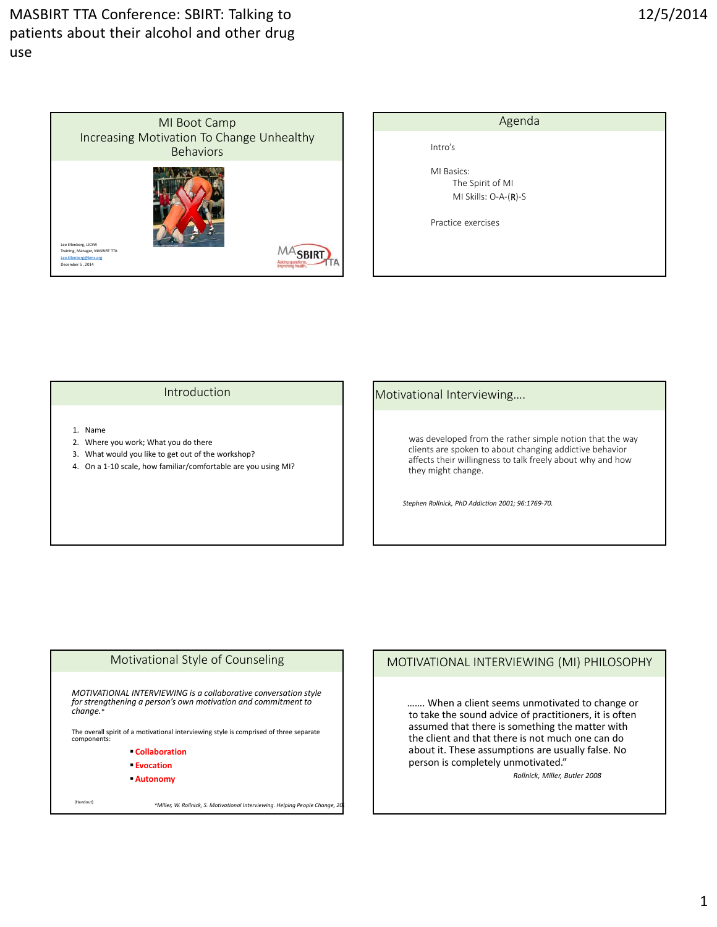

| Agenda                                                 |  |
|--------------------------------------------------------|--|
| Intro's                                                |  |
| MI Basics:<br>The Spirit of MI<br>MI Skills: O-A-(R)-S |  |
| Practice exercises                                     |  |
|                                                        |  |
|                                                        |  |

#### Introduction

- 1. Name
- 2. Where you work; What you do there
- 3. What would you like to get out of the workshop?
- 4. On a 1-10 scale, how familiar/comfortable are you using MI?

#### Motivational Interviewing….

was developed from the rather simple notion that the way clients are spoken to about changing addictive behavior affects their willingness to talk freely about why and how they might change.

*Stephen Rollnick, PhD Addiction 2001; 96:1769‐70.*

#### Motivational Style of Counseling

*MOTIVATIONAL INTERVIEWING is a collaborative conversation style for strengthening a person's own motivation and commitment to change.*\*

The overall spirit of a motivational interviewing style is comprised of three separate components:

- **Collaboration**
- **Evocation**
- **Autonomy**

(Handout) *\*Miller, W. Rollnick, S. Motivational Interviewing. Helping People Change, 201*

## MOTIVATIONAL INTERVIEWING (MI) PHILOSOPHY

……. When a client seems unmotivated to change or to take the sound advice of practitioners, it is often assumed that there is something the matter with the client and that there is not much one can do about it. These assumptions are usually false. No person is completely unmotivated."

*Rollnick, Miller, Butler 2008*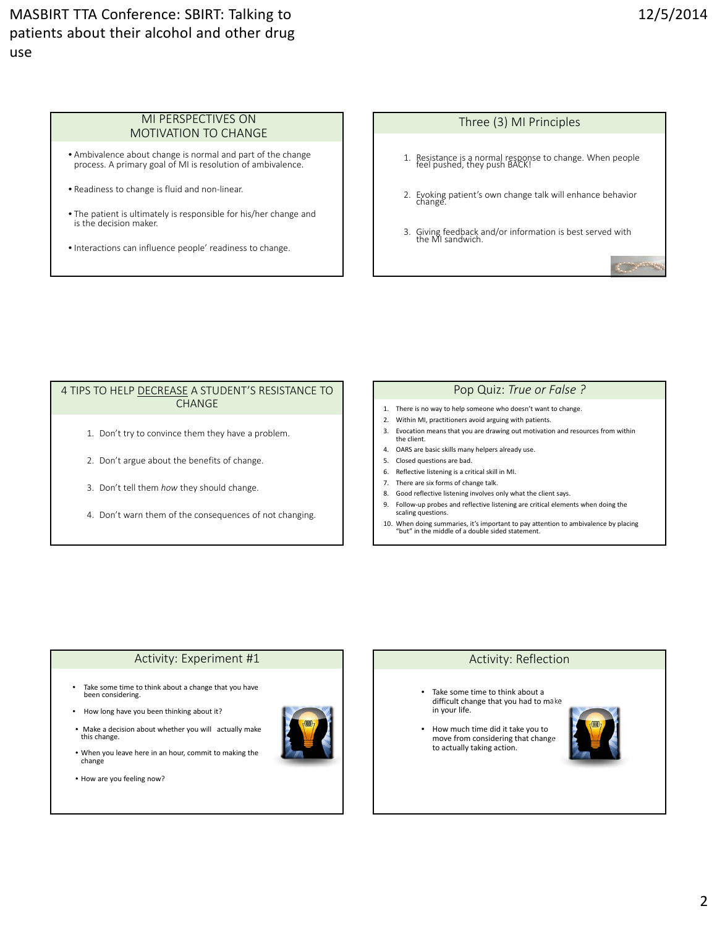#### MI PERSPECTIVES ON MOTIVATION TO CHANGE

- Ambivalence about change is normal and part of the change process. A primary goal of MI is resolution of ambivalence.
- Readiness to change is fluid and non‐linear.
- The patient is ultimately is responsible for his/her change and is the decision maker.
- Interactions can influence people' readiness to change.

# Three (3) MI Principles 1. Resistance is <sup>a</sup> normal response to change. When people feel pushed, they push BACK! 2. Evoking patient's own change talk will enhance behavior change. 3. Giving feedback and/or information is best served with the MI sandwich. **Communication**

#### 4 TIPS TO HELP DECREASE A STUDENT'S RESISTANCE TO CHANGE

- 1. Don't try to convince them they have a problem.
- 2. Don't argue about the benefits of change.
- 3. Don't tell them *how* they should change.
- 4. Don't warn them of the consequences of not changing.

### Pop Quiz: *True or False ?*

- 1. There is no way to help someone who doesn't want to change.
- 2. Within MI, practitioners avoid arguing with patients.
- 3. Evocation means that you are drawing out motivation and resources from within the client.
- 4. OARS are basic skills many helpers already use.
- 5. Closed questions are bad.
- 6. Reflective listening is a critical skill in MI.
- 7. There are six forms of change talk.
- 8. Good reflective listening involves only what the client says.
- 9. Follow‐up probes and reflective listening are critical elements when doing the scaling questions.
- 10. When doing summaries, it's important to pay attention to ambivalence by placing "but" in the middle of a double sided statement.

#### Activity: Experiment #1

- Take some time to think about a change that you have been considering.
- How long have you been thinking about it?
- Make a decision about whether you will actually make this change.
- When you leave here in an hour, commit to making the change
- How are you feeling now?



#### Activity: Reflection

- Take some time to think about a difficult change that you had to make in your life.
- How much time did it take you to move from considering that change to actually taking action.

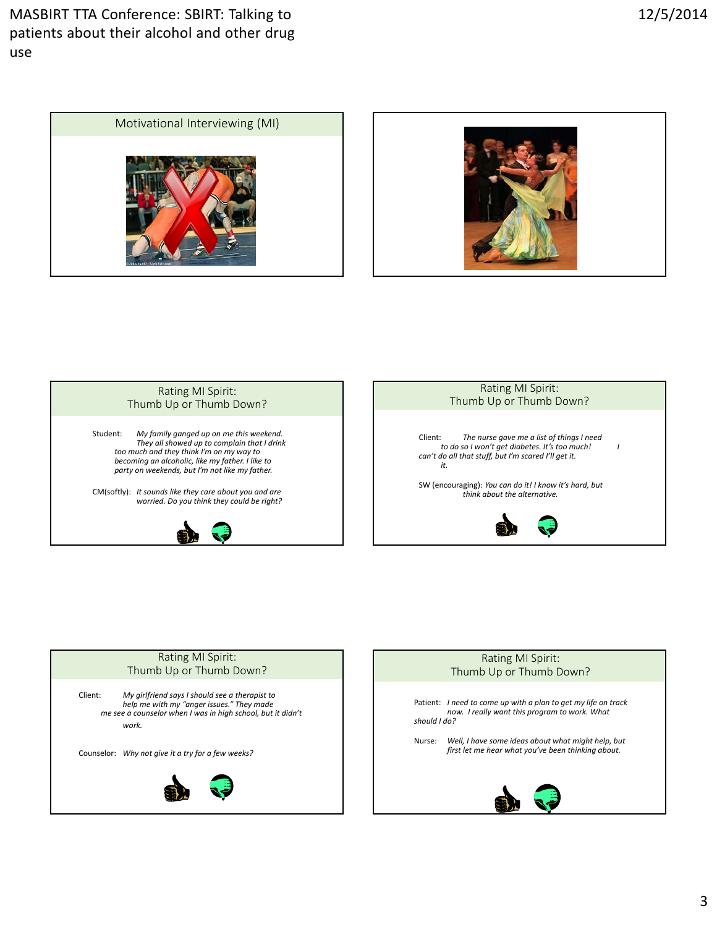







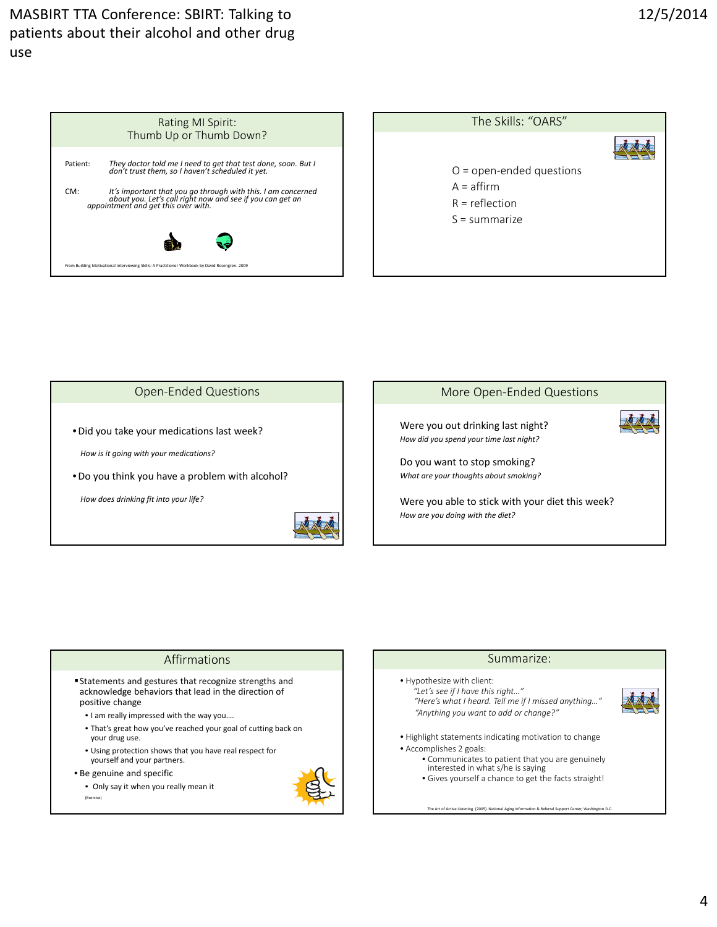|                                                                                                  | Rating MI Spirit:<br>Thumb Up or Thumb Down?                                                                                                                     |
|--------------------------------------------------------------------------------------------------|------------------------------------------------------------------------------------------------------------------------------------------------------------------|
| Patient:                                                                                         | They doctor told me I need to get that test done, soon. But I<br>don't trust them, so I haven't scheduled it yet.                                                |
| CM:                                                                                              | It's important that you go through with this. I am concerned<br>about you. Let's call right now and see if you can get an<br>appointment and get this over with. |
|                                                                                                  |                                                                                                                                                                  |
| From Building Motivational Interviewing Skills: A Practitioner Workbook by David Rosengren, 2009 |                                                                                                                                                                  |

| The Skills: "OARS"         |  |
|----------------------------|--|
|                            |  |
| $O =$ open-ended questions |  |
| $A =$ affirm               |  |
| $R =$ reflection           |  |
| $S =$ summarize            |  |
|                            |  |
|                            |  |
|                            |  |



*How does drinking fit into your life?*





Were you able to stick with your diet this week? *How are you doing with the diet?*

- Statements and gestures that recognize strengths and acknowledge behaviors that lead in the direction of positive change
	- I am really impressed with the way you….
	- That's great how you've reached your goal of cutting back on your drug use.
	- Using protection shows that you have real respect for yourself and your partners.
- Be genuine and specific
	- Only say it when you really mean it (Exercise)



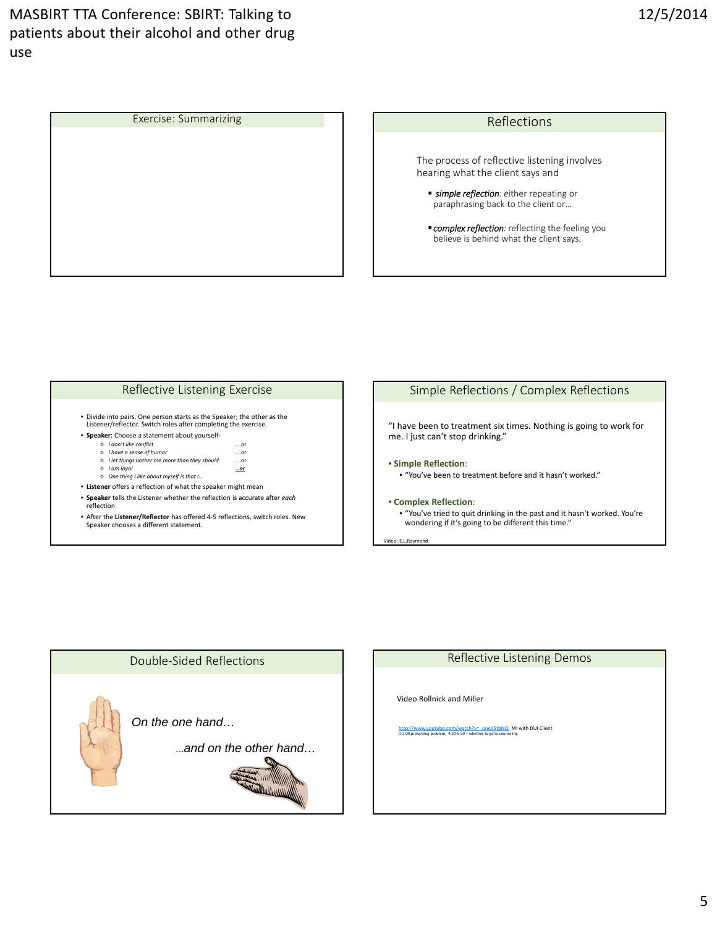

#### Reflective Listening Exercise

- Divide into pairs. One person starts as the Speaker; the other as the Listener/reflector. Switch roles after completing the exercise.
- **Speaker**: Choose a statement about yourself‐
	- o *I don't like conflict* ….or
	- o *I have a sense of humor*  ….or o *I let things bother me more than they should* ….or
	-
	- o *I am loyal …or* o *One thing I like about myself is that I…*
- **Listener** offers a reflection of what the speaker might mean
- **Speaker** tells the Listener whether the reflection is accurate after *each* reflection
- After the **Listener/Reflector** has offered 4‐5 reflections, switch roles. New Speaker chooses a different statement.

#### Simple Reflections / Complex Reflections

"I have been to treatment six times. Nothing is going to work for me. I just can't stop drinking."

• **Simple Reflection**:

• "You've been to treatment before and it hasn't worked."

#### • **Complex Reflection**:

• "You've tried to quit drinking in the past and it hasn't worked. You're wondering if it's going to be different this time."

v: E.L.Ra



#### Reflective Listening Demos

Video Rollnick and Miller

http://www.youtube.com/watch?v=\_oneII5tbNQ: MI with DUI Client<br>0-2:00 presenting problem, 4:30-6:30 – whether to go to counseling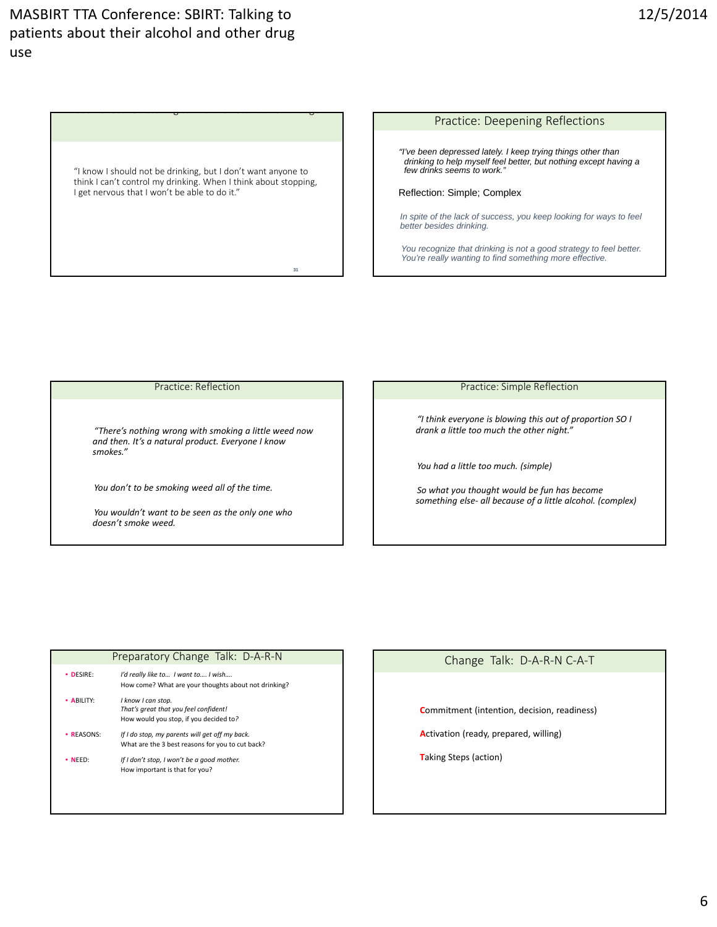"I know I should not be drinking, but I don't want anyone to think I can't control my drinking. When I think about stopping, I get nervous that I won't be able to do it."

**31**

Use Reflective Listening & Find the Potential for Change

#### Practice: Deepening Reflections

*"I've been depressed lately. I keep trying things other than drinking to help myself feel better, but nothing except having a few drinks seems to work."*

Reflection: Simple; Complex

*In spite of the lack of success, you keep looking for ways to feel better besides drinking.*

*You recognize that drinking is not a good strategy to feel better. You're really wanting to find something more effective.*

#### Practice: Reflection

*"There's nothing wrong with smoking a little weed now and then. It's a natural product. Everyone I know smokes."*

*You don't to be smoking weed all of the time.*

*You wouldn't want to be seen as the only one who doesn't smoke weed.*

#### Practice: Simple Reflection

*"I think everyone is blowing this out of proportion SO I drank a little too much the other night."*

*You had a little too much. (simple)*

*So what you thought would be fun has become something else‐ all because of a little alcohol. (complex)*

|                 | TTCparatory Change Tain. D-A-R-19                                                                     |
|-----------------|-------------------------------------------------------------------------------------------------------|
| • DESIRE:       | I'd really like to I want to I wish<br>How come? What are your thoughts about not drinking?           |
| • ABILITY:      | I know I can stop.<br>That's great that you feel confident!<br>How would you stop, if you decided to? |
| <b>REASONS:</b> | If I do stop, my parents will get off my back.<br>What are the 3 best reasons for you to cut back?    |
| $\bullet$ NFFD: | If I don't stop, I won't be a good mother.<br>How important is that for you?                          |
|                 |                                                                                                       |

Preparatory Change Talk: D A P N

#### Change Talk: D‐A‐R‐N C‐A‐T

**C**ommitment (intention, decision, readiness)

**A**ctivation (ready, prepared, willing)

**T**aking Steps (action)